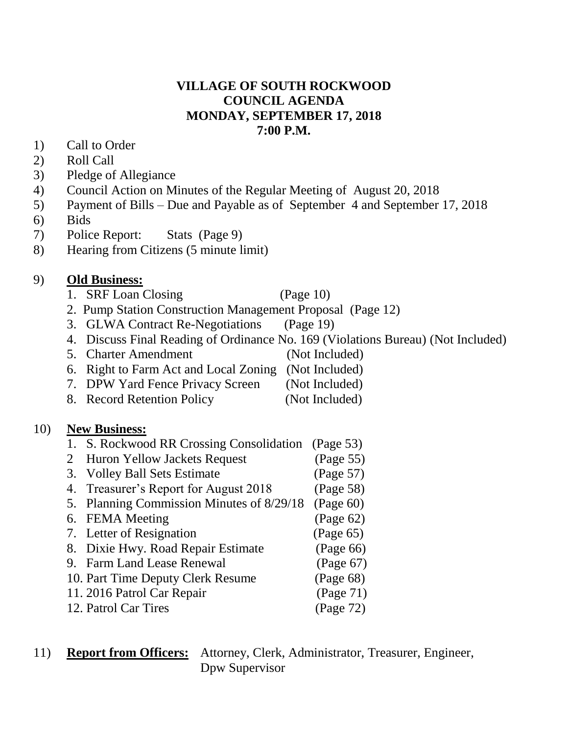#### **VILLAGE OF SOUTH ROCKWOOD COUNCIL AGENDA MONDAY, SEPTEMBER 17, 2018 7:00 P.M.**

- 1) Call to Order
- 2) Roll Call
- 3) Pledge of Allegiance
- 4) Council Action on Minutes of the Regular Meeting of August 20, 2018
- 5) Payment of Bills Due and Payable as of September 4 and September 17, 2018
- 6) Bids
- 7) Police Report: Stats (Page 9)
- 8) Hearing from Citizens (5 minute limit)

### 9) **Old Business:**

- 1. SRF Loan Closing (Page 10)
	-
- 2. Pump Station Construction Management Proposal (Page 12)
- 3. GLWA Contract Re-Negotiations (Page 19)
- 4. Discuss Final Reading of Ordinance No. 169 (Violations Bureau) (Not Included)
- 5. Charter Amendment (Not Included)
- 6. Right to Farm Act and Local Zoning (Not Included)
- 7. DPW Yard Fence Privacy Screen (Not Included)
- 8. Record Retention Policy (Not Included)

#### 10) **New Business:**

- 1. S. Rockwood RR Crossing Consolidation (Page 53)
- 2 Huron Yellow Jackets Request (Page 55)
- 3. Volley Ball Sets Estimate (Page 57)
- 4. Treasurer's Report for August 2018 (Page 58)
- 5. Planning Commission Minutes of 8/29/18 (Page 60)
- 6. FEMA Meeting (Page 62)
- 7. Letter of Resignation (Page 65)
- 8. Dixie Hwy. Road Repair Estimate (Page 66)
- 9. Farm Land Lease Renewal (Page 67)
- 10. Part Time Deputy Clerk Resume (Page 68)
- 11. 2016 Patrol Car Repair (Page 71)
- 12. Patrol Car Tires (Page 72)

#### 11) **Report from Officers:** Attorney, Clerk, Administrator, Treasurer, Engineer, Dpw Supervisor